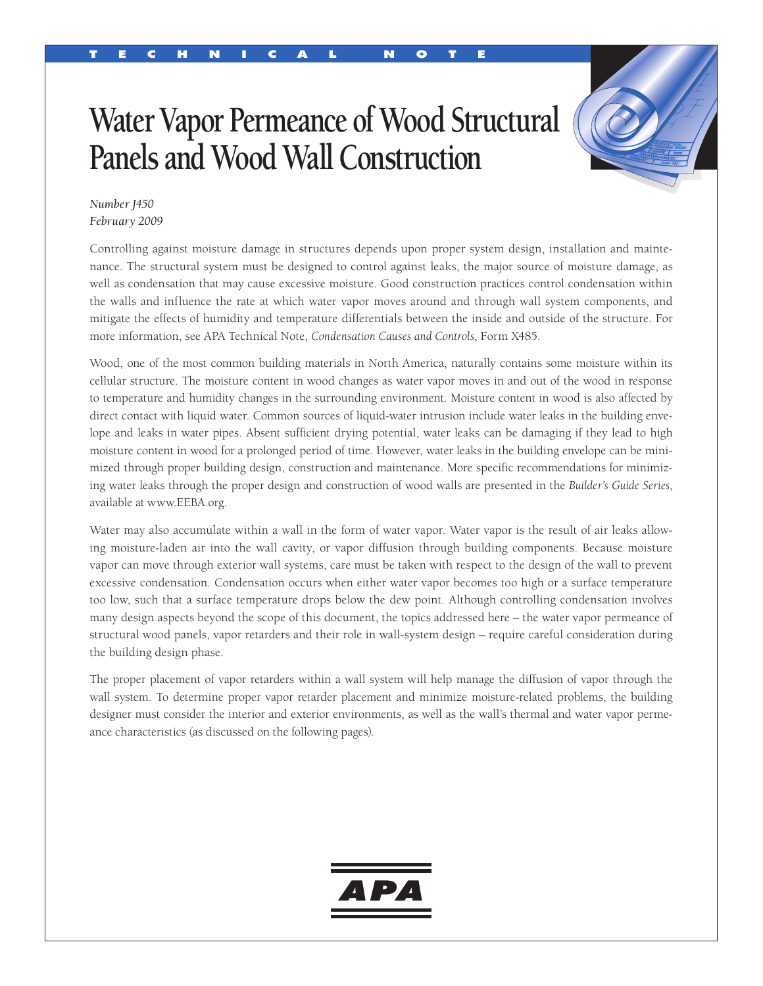# T e c h n i c a l n o t e

# **Water Vapor Permeance of Wood Structural Panels and Wood Wall Construction**



## *Number J450 February 2009*

Controlling against moisture damage in structures depends upon proper system design, installation and maintenance. The structural system must be designed to control against leaks, the major source of moisture damage, as well as condensation that may cause excessive moisture. Good construction practices control condensation within the walls and influence the rate at which water vapor moves around and through wall system components, and mitigate the effects of humidity and temperature differentials between the inside and outside of the structure. For more information, see APA Technical Note, *Condensation Causes and Controls*, Form X485.

Wood, one of the most common building materials in North America, naturally contains some moisture within its cellular structure. The moisture content in wood changes as water vapor moves in and out of the wood in response to temperature and humidity changes in the surrounding environment. Moisture content in wood is also affected by direct contact with liquid water. Common sources of liquid-water intrusion include water leaks in the building envelope and leaks in water pipes. Absent sufficient drying potential, water leaks can be damaging if they lead to high moisture content in wood for a prolonged period of time. However, water leaks in the building envelope can be minimized through proper building design, construction and maintenance. More specific recommendations for minimizing water leaks through the proper design and construction of wood walls are presented in the *Builder's Guide Series*, available at www.EEBA.org.

Water may also accumulate within a wall in the form of water vapor. Water vapor is the result of air leaks allowing moisture-laden air into the wall cavity, or vapor diffusion through building components. Because moisture vapor can move through exterior wall systems, care must be taken with respect to the design of the wall to prevent excessive condensation. Condensation occurs when either water vapor becomes too high or a surface temperature too low, such that a surface temperature drops below the dew point. Although controlling condensation involves many design aspects beyond the scope of this document, the topics addressed here – the water vapor permeance of structural wood panels, vapor retarders and their role in wall-system design – require careful consideration during the building design phase.

The proper placement of vapor retarders within a wall system will help manage the diffusion of vapor through the wall system. To determine proper vapor retarder placement and minimize moisture-related problems, the building designer must consider the interior and exterior environments, as well as the wall's thermal and water vapor permeance characteristics (as discussed on the following pages).

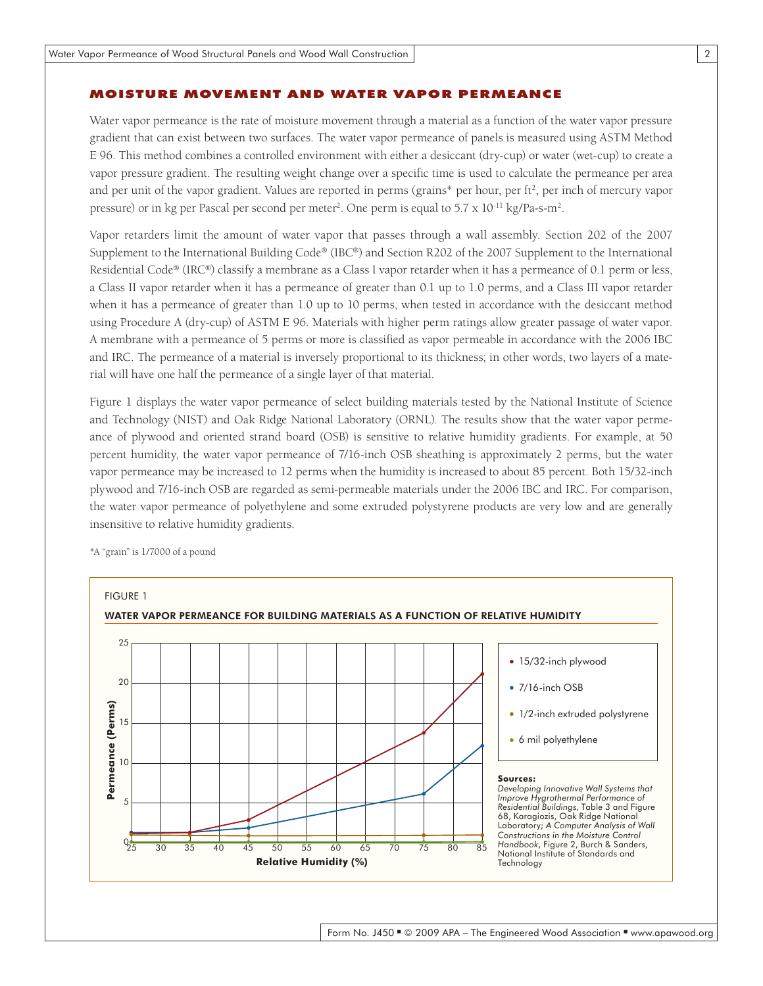#### Moisture Movement and Water Vapor Permeance

Water vapor permeance is the rate of moisture movement through a material as a function of the water vapor pressure gradient that can exist between two surfaces. The water vapor permeance of panels is measured using ASTM Method E 96. This method combines a controlled environment with either a desiccant (dry-cup) or water (wet-cup) to create a vapor pressure gradient. The resulting weight change over a specific time is used to calculate the permeance per area and per unit of the vapor gradient. Values are reported in perms (grains\* per hour, per ft2, per inch of mercury vapor pressure) or in kg per Pascal per second per meter<sup>2</sup>. One perm is equal to 5.7 x 10<sup>-11</sup> kg/Pa-s-m<sup>2</sup>.

Vapor retarders limit the amount of water vapor that passes through a wall assembly. Section 202 of the 2007 Supplement to the International Building Code® (IBC®) and Section R202 of the 2007 Supplement to the International Residential Code® (IRC®) classify a membrane as a Class I vapor retarder when it has a permeance of 0.1 perm or less, a Class II vapor retarder when it has a permeance of greater than 0.1 up to 1.0 perms, and a Class III vapor retarder when it has a permeance of greater than 1.0 up to 10 perms, when tested in accordance with the desiccant method using Procedure A (dry-cup) of ASTM E 96. Materials with higher perm ratings allow greater passage of water vapor. A membrane with a permeance of 5 perms or more is classified as vapor permeable in accordance with the 2006 IBC and IRC. The permeance of a material is inversely proportional to its thickness; in other words, two layers of a material will have one half the permeance of a single layer of that material.

Figure 1 displays the water vapor permeance of select building materials tested by the National Institute of Science and Technology (NIST) and Oak Ridge National Laboratory (ORNL). The results show that the water vapor permeance of plywood and oriented strand board (OSB) is sensitive to relative humidity gradients. For example, at 50 percent humidity, the water vapor permeance of 7/16-inch OSB sheathing is approximately 2 perms, but the water vapor permeance may be increased to 12 perms when the humidity is increased to about 85 percent. Both 15/32-inch plywood and 7/16-inch OSB are regarded as semi-permeable materials under the 2006 IBC and IRC. For comparison, the water vapor permeance of polyethylene and some extruded polystyrene products are very low and are generally insensitive to relative humidity gradients.

\*A "grain" is 1/7000 of a pound



 $\overline{2}$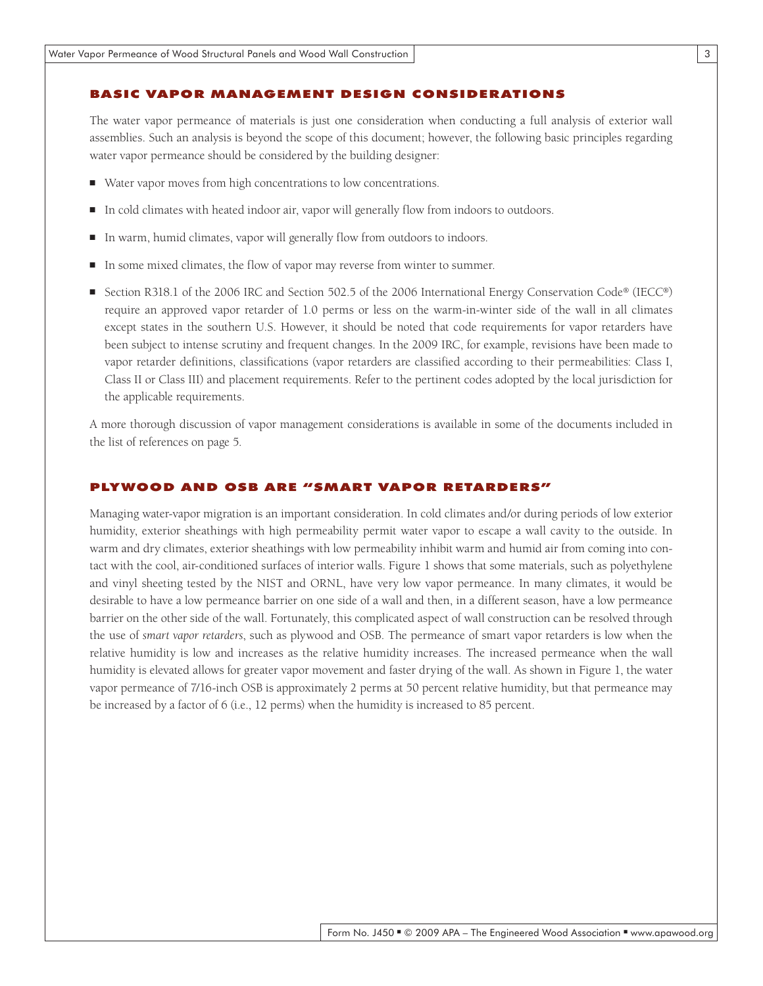#### Basic Vapor Management Design Consider ations

The water vapor permeance of materials is just one consideration when conducting a full analysis of exterior wall assemblies. Such an analysis is beyond the scope of this document; however, the following basic principles regarding water vapor permeance should be considered by the building designer:

- Water vapor moves from high concentrations to low concentrations.
- In cold climates with heated indoor air, vapor will generally flow from indoors to outdoors.
- In warm, humid climates, vapor will generally flow from outdoors to indoors.
- In some mixed climates, the flow of vapor may reverse from winter to summer.
- Section R318.1 of the 2006 IRC and Section 502.5 of the 2006 International Energy Conservation Code® (IECC®) require an approved vapor retarder of 1.0 perms or less on the warm-in-winter side of the wall in all climates except states in the southern U.S. However, it should be noted that code requirements for vapor retarders have been subject to intense scrutiny and frequent changes. In the 2009 IRC, for example, revisions have been made to vapor retarder definitions, classifications (vapor retarders are classified according to their permeabilities: Class I, Class II or Class III) and placement requirements. Refer to the pertinent codes adopted by the local jurisdiction for the applicable requirements.

A more thorough discussion of vapor management considerations is available in some of the documents included in the list of references on page 5.

#### Plywood and OSB are "Smart Vapor Retarders"

Managing water-vapor migration is an important consideration. In cold climates and/or during periods of low exterior humidity, exterior sheathings with high permeability permit water vapor to escape a wall cavity to the outside. In warm and dry climates, exterior sheathings with low permeability inhibit warm and humid air from coming into contact with the cool, air-conditioned surfaces of interior walls. Figure 1 shows that some materials, such as polyethylene and vinyl sheeting tested by the NIST and ORNL, have very low vapor permeance. In many climates, it would be desirable to have a low permeance barrier on one side of a wall and then, in a different season, have a low permeance barrier on the other side of the wall. Fortunately, this complicated aspect of wall construction can be resolved through the use of *smart vapor retarders*, such as plywood and OSB. The permeance of smart vapor retarders is low when the relative humidity is low and increases as the relative humidity increases. The increased permeance when the wall humidity is elevated allows for greater vapor movement and faster drying of the wall. As shown in Figure 1, the water vapor permeance of 7/16-inch OSB is approximately 2 perms at 50 percent relative humidity, but that permeance may be increased by a factor of 6 (i.e., 12 perms) when the humidity is increased to 85 percent.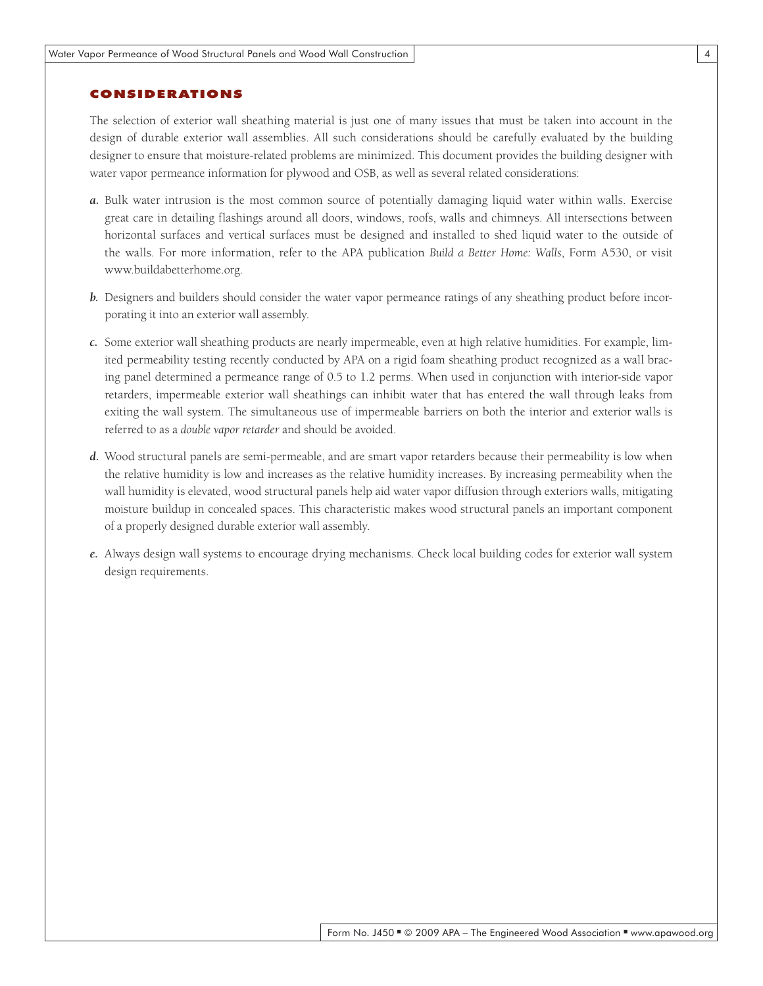### **CONSIDERATIONS**

The selection of exterior wall sheathing material is just one of many issues that must be taken into account in the design of durable exterior wall assemblies. All such considerations should be carefully evaluated by the building designer to ensure that moisture-related problems are minimized. This document provides the building designer with water vapor permeance information for plywood and OSB, as well as several related considerations:

- *a.* Bulk water intrusion is the most common source of potentially damaging liquid water within walls. Exercise great care in detailing flashings around all doors, windows, roofs, walls and chimneys. All intersections between horizontal surfaces and vertical surfaces must be designed and installed to shed liquid water to the outside of the walls. For more information, refer to the APA publication *Build a Better Home: Walls*, Form A530, or visit www.buildabetterhome.org.
- *b.* Designers and builders should consider the water vapor permeance ratings of any sheathing product before incorporating it into an exterior wall assembly.
- *c.* Some exterior wall sheathing products are nearly impermeable, even at high relative humidities. For example, limited permeability testing recently conducted by APA on a rigid foam sheathing product recognized as a wall bracing panel determined a permeance range of 0.5 to 1.2 perms. When used in conjunction with interior-side vapor retarders, impermeable exterior wall sheathings can inhibit water that has entered the wall through leaks from exiting the wall system. The simultaneous use of impermeable barriers on both the interior and exterior walls is referred to as a *double vapor retarder* and should be avoided.
- *d.* Wood structural panels are semi-permeable, and are smart vapor retarders because their permeability is low when the relative humidity is low and increases as the relative humidity increases. By increasing permeability when the wall humidity is elevated, wood structural panels help aid water vapor diffusion through exteriors walls, mitigating moisture buildup in concealed spaces. This characteristic makes wood structural panels an important component of a properly designed durable exterior wall assembly.
- *e.* Always design wall systems to encourage drying mechanisms. Check local building codes for exterior wall system design requirements.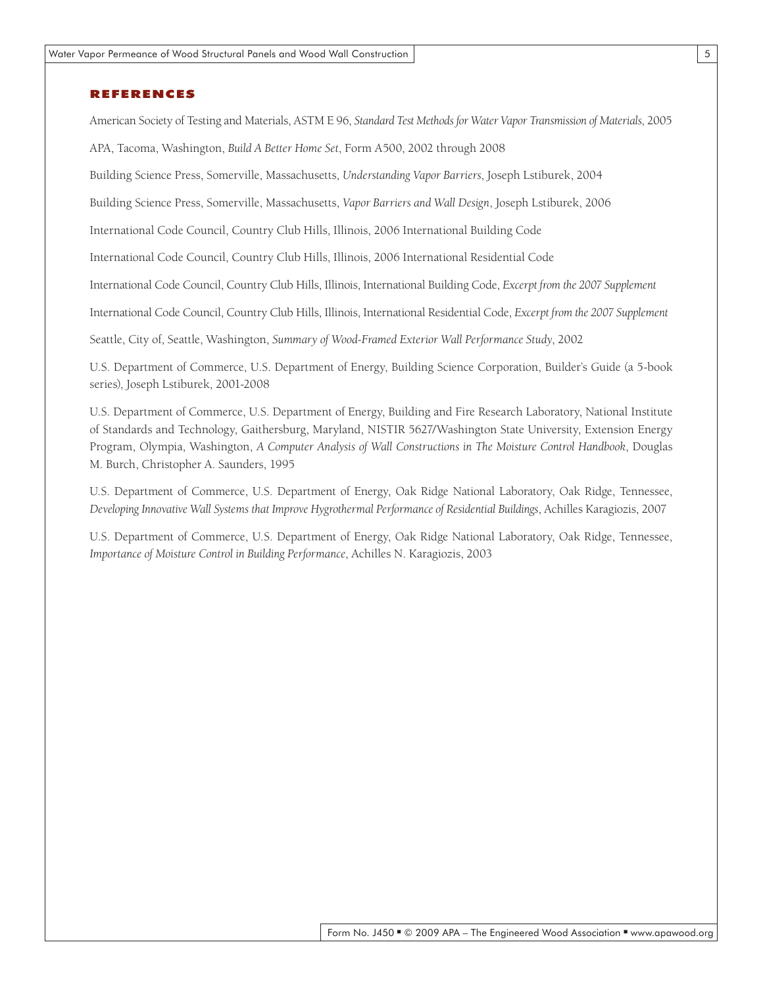#### References

American Society of Testing and Materials, ASTM E 96, *Standard Test Methods for Water Vapor Transmission of Materials*, 2005

APA, Tacoma, Washington, *Build A Better Home Set*, Form A500, 2002 through 2008

Building Science Press, Somerville, Massachusetts, *Understanding Vapor Barriers*, Joseph Lstiburek, 2004

Building Science Press, Somerville, Massachusetts, *Vapor Barriers and Wall Design*, Joseph Lstiburek, 2006

International Code Council, Country Club Hills, Illinois, 2006 International Building Code

International Code Council, Country Club Hills, Illinois, 2006 International Residential Code

International Code Council, Country Club Hills, Illinois, International Building Code, *Excerpt from the 2007 Supplement*

International Code Council, Country Club Hills, Illinois, International Residential Code, *Excerpt from the 2007 Supplement*

Seattle, City of, Seattle, Washington, *Summary of Wood-Framed Exterior Wall Performance Study*, 2002

U.S. Department of Commerce, U.S. Department of Energy, Building Science Corporation, Builder's Guide (a 5-book series), Joseph Lstiburek, 2001-2008

U.S. Department of Commerce, U.S. Department of Energy, Building and Fire Research Laboratory, National Institute of Standards and Technology, Gaithersburg, Maryland, NISTIR 5627/Washington State University, Extension Energy Program, Olympia, Washington, *A Computer Analysis of Wall Constructions in The Moisture Control Handbook*, Douglas M. Burch, Christopher A. Saunders, 1995

U.S. Department of Commerce, U.S. Department of Energy, Oak Ridge National Laboratory, Oak Ridge, Tennessee, *Developing Innovative Wall Systems that Improve Hygrothermal Performance of Residential Buildings*, Achilles Karagiozis, 2007

U.S. Department of Commerce, U.S. Department of Energy, Oak Ridge National Laboratory, Oak Ridge, Tennessee, *Importance of Moisture Control in Building Performance*, Achilles N. Karagiozis, 2003